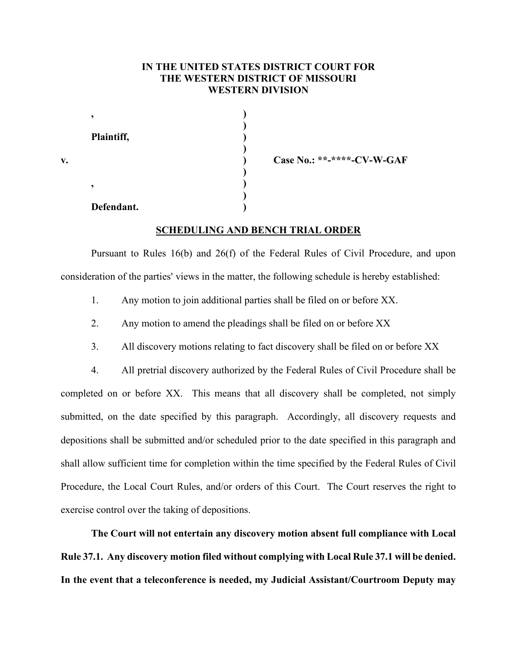## **IN THE UNITED STATES DISTRICT COURT FOR THE WESTERN DISTRICT OF MISSOURI WESTERN DIVISION**

**)**

**)**

**)**

**)**

| Plaintiff, |  |
|------------|--|
|            |  |
|            |  |

**, )**

**, )**

**v. ) Case No.: \*\*-\*\*\*\*-CV-W-GAF**

## **Defendant. )**

## **SCHEDULING AND BENCH TRIAL ORDER**

Pursuant to Rules 16(b) and 26(f) of the Federal Rules of Civil Procedure, and upon consideration of the parties' views in the matter, the following schedule is hereby established:

- 1. Any motion to join additional parties shall be filed on or before XX.
- 2. Any motion to amend the pleadings shall be filed on or before XX
- 3. All discovery motions relating to fact discovery shall be filed on or before XX

4. All pretrial discovery authorized by the Federal Rules of Civil Procedure shall be completed on or before XX. This means that all discovery shall be completed, not simply submitted, on the date specified by this paragraph. Accordingly, all discovery requests and depositions shall be submitted and/or scheduled prior to the date specified in this paragraph and shall allow sufficient time for completion within the time specified by the Federal Rules of Civil Procedure, the Local Court Rules, and/or orders of this Court. The Court reserves the right to exercise control over the taking of depositions.

**The Court will not entertain any discovery motion absent full compliance with Local Rule 37.1. Any discovery motion filed without complying with Local Rule 37.1 will be denied. In the event that a teleconference is needed, my Judicial Assistant/Courtroom Deputy may**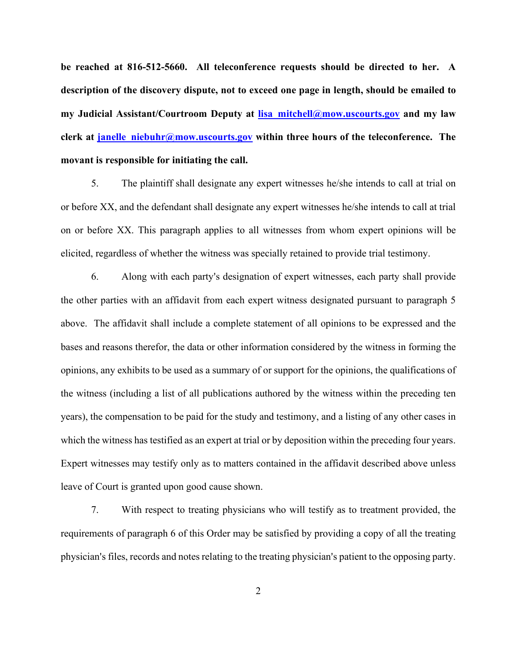**be reached at 816-512-5660. All teleconference requests should be directed to her. A description of the discovery dispute, not to exceed one page in length, should be emailed to my Judicial Assistant/Courtroom Deputy at [lisa\\_mitchell@mow.uscourts.gov](mailto:lisa_mitchell@mow.uscourts.gov) and my law**  clerk at janelle niebuhr@mow.uscourts.gov within three hours of the teleconference. The **movant is responsible for initiating the call.**

5. The plaintiff shall designate any expert witnesses he/she intends to call at trial on or before XX, and the defendant shall designate any expert witnesses he/she intends to call at trial on or before XX. This paragraph applies to all witnesses from whom expert opinions will be elicited, regardless of whether the witness was specially retained to provide trial testimony.

6. Along with each party's designation of expert witnesses, each party shall provide the other parties with an affidavit from each expert witness designated pursuant to paragraph 5 above. The affidavit shall include a complete statement of all opinions to be expressed and the bases and reasons therefor, the data or other information considered by the witness in forming the opinions, any exhibits to be used as a summary of or support for the opinions, the qualifications of the witness (including a list of all publications authored by the witness within the preceding ten years), the compensation to be paid for the study and testimony, and a listing of any other cases in which the witness has testified as an expert at trial or by deposition within the preceding four years. Expert witnesses may testify only as to matters contained in the affidavit described above unless leave of Court is granted upon good cause shown.

7. With respect to treating physicians who will testify as to treatment provided, the requirements of paragraph 6 of this Order may be satisfied by providing a copy of all the treating physician's files, records and notes relating to the treating physician's patient to the opposing party.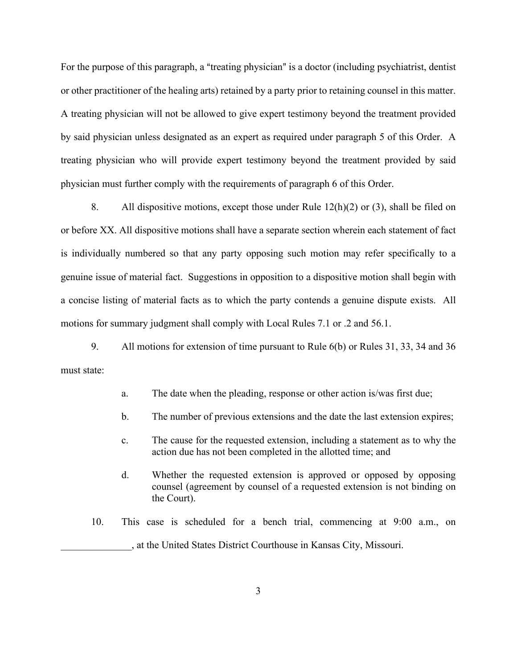For the purpose of this paragraph, a "treating physician" is a doctor (including psychiatrist, dentist or other practitioner of the healing arts) retained by a party prior to retaining counsel in this matter. A treating physician will not be allowed to give expert testimony beyond the treatment provided by said physician unless designated as an expert as required under paragraph 5 of this Order. A treating physician who will provide expert testimony beyond the treatment provided by said physician must further comply with the requirements of paragraph 6 of this Order.

8. All dispositive motions, except those under Rule  $12(h)(2)$  or (3), shall be filed on or before XX. All dispositive motions shall have a separate section wherein each statement of fact is individually numbered so that any party opposing such motion may refer specifically to a genuine issue of material fact. Suggestions in opposition to a dispositive motion shall begin with a concise listing of material facts as to which the party contends a genuine dispute exists. All motions for summary judgment shall comply with Local Rules 7.1 or .2 and 56.1.

9. All motions for extension of time pursuant to Rule 6(b) or Rules 31, 33, 34 and 36 must state:

- a. The date when the pleading, response or other action is/was first due;
- b. The number of previous extensions and the date the last extension expires;
- c. The cause for the requested extension, including a statement as to why the action due has not been completed in the allotted time; and
- d. Whether the requested extension is approved or opposed by opposing counsel (agreement by counsel of a requested extension is not binding on the Court).
- 10. This case is scheduled for a bench trial, commencing at 9:00 a.m., on \_\_\_\_\_\_\_\_\_\_\_\_\_\_, at the United States District Courthouse in Kansas City, Missouri.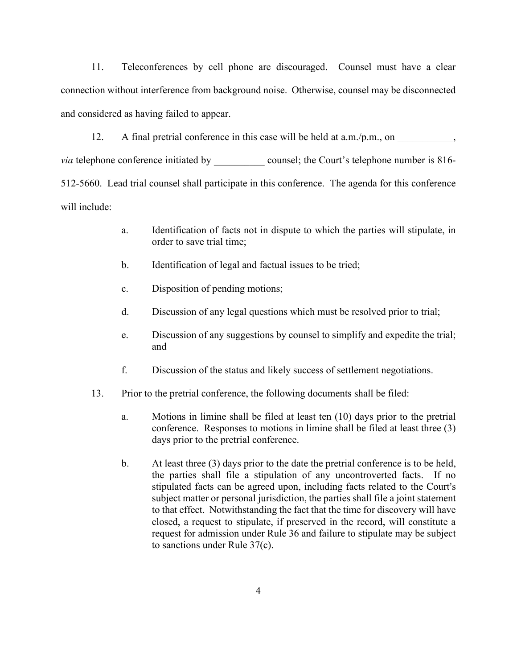11. Teleconferences by cell phone are discouraged. Counsel must have a clear connection without interference from background noise. Otherwise, counsel may be disconnected and considered as having failed to appear.

12. A final pretrial conference in this case will be held at  $a.m./p.m.,$  on

*via* telephone conference initiated by \_\_\_\_\_\_\_\_\_\_\_ counsel; the Court's telephone number is 816-512-5660. Lead trial counsel shall participate in this conference. The agenda for this conference will include:

- a. Identification of facts not in dispute to which the parties will stipulate, in order to save trial time;
- b. Identification of legal and factual issues to be tried;
- c. Disposition of pending motions;
- d. Discussion of any legal questions which must be resolved prior to trial;
- e. Discussion of any suggestions by counsel to simplify and expedite the trial; and
- f. Discussion of the status and likely success of settlement negotiations.
- 13. Prior to the pretrial conference, the following documents shall be filed:
	- a. Motions in limine shall be filed at least ten (10) days prior to the pretrial conference. Responses to motions in limine shall be filed at least three (3) days prior to the pretrial conference.
	- b. At least three (3) days prior to the date the pretrial conference is to be held, the parties shall file a stipulation of any uncontroverted facts. If no stipulated facts can be agreed upon, including facts related to the Court's subject matter or personal jurisdiction, the parties shall file a joint statement to that effect. Notwithstanding the fact that the time for discovery will have closed, a request to stipulate, if preserved in the record, will constitute a request for admission under Rule 36 and failure to stipulate may be subject to sanctions under Rule 37(c).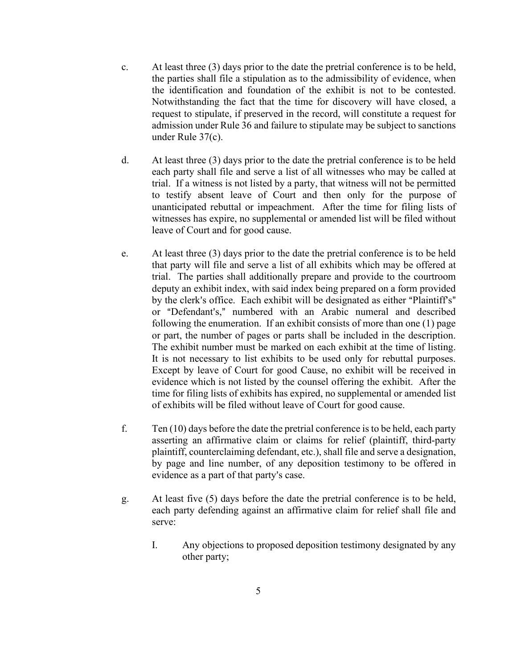- c. At least three (3) days prior to the date the pretrial conference is to be held, the parties shall file a stipulation as to the admissibility of evidence, when the identification and foundation of the exhibit is not to be contested. Notwithstanding the fact that the time for discovery will have closed, a request to stipulate, if preserved in the record, will constitute a request for admission under Rule 36 and failure to stipulate may be subject to sanctions under Rule 37(c).
- d. At least three (3) days prior to the date the pretrial conference is to be held each party shall file and serve a list of all witnesses who may be called at trial. If a witness is not listed by a party, that witness will not be permitted to testify absent leave of Court and then only for the purpose of unanticipated rebuttal or impeachment. After the time for filing lists of witnesses has expire, no supplemental or amended list will be filed without leave of Court and for good cause.
- e. At least three (3) days prior to the date the pretrial conference is to be held that party will file and serve a list of all exhibits which may be offered at trial. The parties shall additionally prepare and provide to the courtroom deputy an exhibit index, with said index being prepared on a form provided by the clerk's office. Each exhibit will be designated as either "Plaintiff's" or "Defendant's," numbered with an Arabic numeral and described following the enumeration. If an exhibit consists of more than one (1) page or part, the number of pages or parts shall be included in the description. The exhibit number must be marked on each exhibit at the time of listing. It is not necessary to list exhibits to be used only for rebuttal purposes. Except by leave of Court for good Cause, no exhibit will be received in evidence which is not listed by the counsel offering the exhibit. After the time for filing lists of exhibits has expired, no supplemental or amended list of exhibits will be filed without leave of Court for good cause.
- f. Ten (10) days before the date the pretrial conference is to be held, each party asserting an affirmative claim or claims for relief (plaintiff, third-party plaintiff, counterclaiming defendant, etc.), shall file and serve a designation, by page and line number, of any deposition testimony to be offered in evidence as a part of that party's case.
- g. At least five (5) days before the date the pretrial conference is to be held, each party defending against an affirmative claim for relief shall file and serve:
	- I. Any objections to proposed deposition testimony designated by any other party;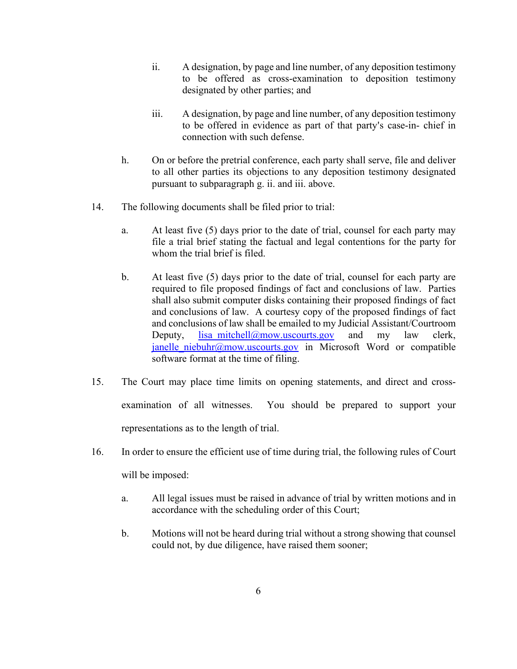- ii. A designation, by page and line number, of any deposition testimony to be offered as cross-examination to deposition testimony designated by other parties; and
- iii. A designation, by page and line number, of any deposition testimony to be offered in evidence as part of that party's case-in- chief in connection with such defense.
- h. On or before the pretrial conference, each party shall serve, file and deliver to all other parties its objections to any deposition testimony designated pursuant to subparagraph g. ii. and iii. above.
- 14. The following documents shall be filed prior to trial:
	- a. At least five (5) days prior to the date of trial, counsel for each party may file a trial brief stating the factual and legal contentions for the party for whom the trial brief is filed.
	- b. At least five (5) days prior to the date of trial, counsel for each party are required to file proposed findings of fact and conclusions of law. Parties shall also submit computer disks containing their proposed findings of fact and conclusions of law. A courtesy copy of the proposed findings of fact and conclusions of law shall be emailed to my Judicial Assistant/Courtroom Deputy, lisa mitchell@mow.uscourts.gov and my law clerk, janelle niebuhr@mow.uscourts.gov in Microsoft Word or compatible software format at the time of filing.
- 15. The Court may place time limits on opening statements, and direct and crossexamination of all witnesses. You should be prepared to support your representations as to the length of trial.
- 16. In order to ensure the efficient use of time during trial, the following rules of Court will be imposed:
	- a. All legal issues must be raised in advance of trial by written motions and in accordance with the scheduling order of this Court;
	- b. Motions will not be heard during trial without a strong showing that counsel could not, by due diligence, have raised them sooner;